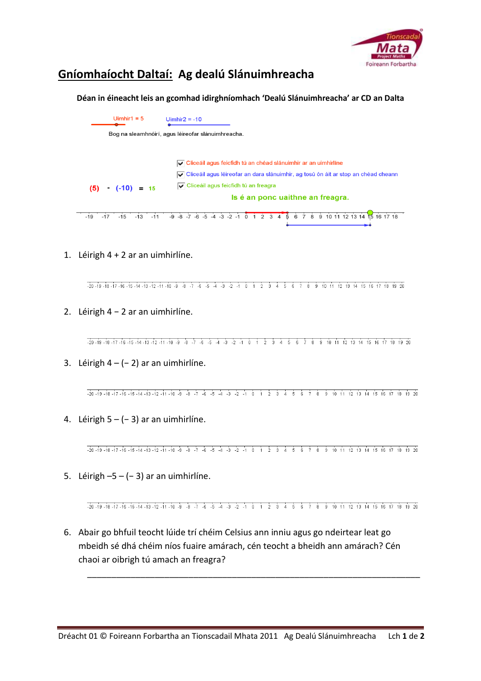

## **Gníomhaíocht Daltaí: Ag dealú Slánuimhreacha**

**Déan in éineacht leis an gcomhad idirghníomhach 'Dealú Slánuimhreacha' ar CD an Dalta**

| Uimhir1 = $5$       | Uimhir $2 = -10$                                                                                        |
|---------------------|---------------------------------------------------------------------------------------------------------|
|                     | Bog na sleamhnóirí, agus léireofar slánuimhreacha.                                                      |
|                     |                                                                                                         |
|                     | Cliceáil agus feicfidh tú an chéad slánuimhir ar an uimhirlíne                                          |
|                     | ◯ Cliceáil agus léireofar an dara slánuimhir, ag tosú ón áit ar stop an chéad cheann                    |
| $(-10) = 15$<br>(5) | Cliceáil agus feicfidh tú an freagra                                                                    |
|                     | Is é an ponc uaithne an freagra.                                                                        |
| $-15$<br>$-19$      | $-13$ $-11$ $-9$ $-8$ $-7$ $-6$ $-5$ $-4$ $-3$ $-2$ $-1$ 0 1 2 3 4 5 6 7 8 9 10 11 12 13 14 15 16 17 18 |

1. Léirigh 4 + 2 ar an uimhirlíne.

 $\frac{1}{20} - \frac{1}{19} - \frac{1}{19} - \frac{1}{19} - \frac{1}{19} - \frac{1}{19} - \frac{1}{19} - \frac{1}{19} - \frac{1}{19} - \frac{1}{19} - \frac{1}{19} - \frac{1}{19} - \frac{1}{19} - \frac{1}{19} - \frac{1}{19} - \frac{1}{19} - \frac{1}{19} - \frac{1}{19} - \frac{1}{19} - \frac{1}{19} - \frac{1}{19} - \frac{1}{19} - \frac{1}{19} - \frac{1}{19} - \frac{1$ 

2. Léirigh 4 − 2 ar an uimhirlíne.

 $\frac{1}{20} - \frac{19}{19} - \frac{18}{16} - \frac{1}{17} - \frac{16}{16} - \frac{1}{15} - \frac{1}{14} - \frac{1}{12} - \frac{1}{12} - \frac{1}{12} - \frac{1}{12} - \frac{1}{12} - \frac{1}{12} - \frac{1}{12} - \frac{1}{12} - \frac{1}{12} - \frac{1}{12} - \frac{1}{12} - \frac{1}{12} - \frac{1}{12} - \frac{1}{12} - \frac{1}{12} - \frac{1}{12} - \frac{1}{12} - \$ 

3. Léirigh  $4 - (-2)$  ar an uimhirlíne.

 $\frac{1}{20}$  -19 -18 -17 -16 -15 -14 -13 -12 -11 -10 -9 -8 -7 -6 -5 -4 -3 -2 -1 0 1 2 3 4 5 6 7 8 9 10 11 12 13 14 15 16 17 18 19 20

4. Léirigh 5 – (− 3) ar an uimhirlíne.

 $\frac{1}{20}$  -19 -18 -17 -16 -15 -14 -13 -12 -11 -10 -9 -8 -7 -6 -5 -4 -3 -2 -1 0 1 2 3 4 5 6 7 8 9 10 11 12 13 14 15 16 17 18 19 20

5. Léirigh  $-5 - (-3)$  ar an uimhirlíne.

 $-20 - 19 - 18 - 17 - 16 - 15 - 14 - 13 - 12 - 11 - 10 - 9 - 8 - 7 - 6 - 5 - 4 - 3 - 2 - 1 0 1 2 3 4 5 6 7 8 9 10 11 12 13 14 15 16 17 18 19 20$ 

\_\_\_\_\_\_\_\_\_\_\_\_\_\_\_\_\_\_\_\_\_\_\_\_\_\_\_\_\_\_\_\_\_\_\_\_\_\_\_\_\_\_\_\_\_\_\_\_\_\_\_\_\_\_\_\_\_\_\_\_\_\_\_\_\_\_\_\_\_

6. Abair go bhfuil teocht lúide trí chéim Celsius ann inniu agus go ndeirtear leat go mbeidh sé dhá chéim níos fuaire amárach, cén teocht a bheidh ann amárach? Cén chaoi ar oibrigh tú amach an freagra?